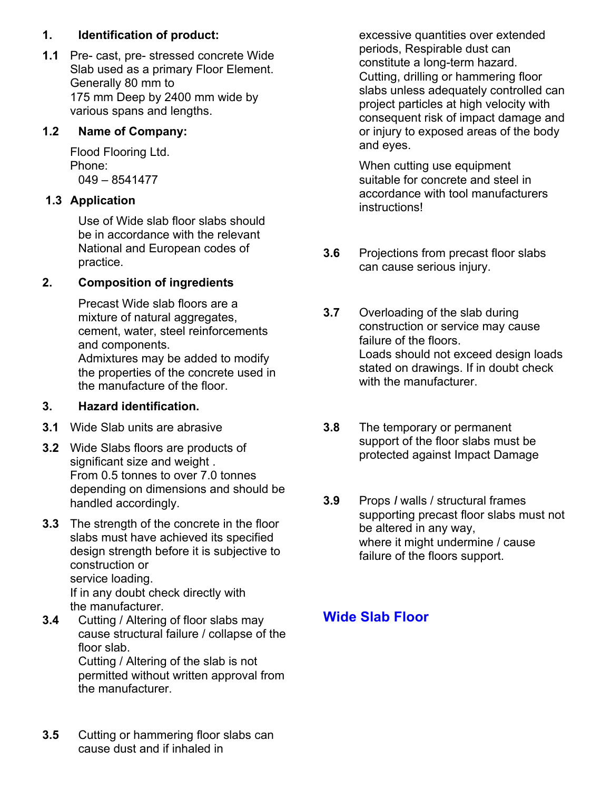#### **1. Identification of product:**

**1.1** Pre- cast, pre- stressed concrete Wide Slab used as a primary Floor Element. Generally 80 mm to 175 mm Deep by 2400 mm wide by various spans and lengths.

#### **1.2 Name of Company:**

Flood Flooring Ltd. Phone: 049 – 8541477

#### **1.3 Application**

Use of Wide slab floor slabs should be in accordance with the relevant National and European codes of practice.

#### **2. Composition of ingredients**

Precast Wide slab floors are a mixture of natural aggregates, cement, water, steel reinforcements and components. Admixtures may be added to modify the properties of the concrete used in

the manufacture of the floor.

#### **3. Hazard identification.**

- **3.1** Wide Slab units are abrasive
- **3.2** Wide Slabs floors are products of significant size and weight . From 0.5 tonnes to over 7.0 tonnes depending on dimensions and should be handled accordingly.
- **3.3** The strength of the concrete in the floor slabs must have achieved its specified design strength before it is subjective to construction or service loading. If in any doubt check directly with the manufacturer.
- **3.4** Cutting / Altering of floor slabs may cause structural failure / collapse of the floor slab. Cutting / Altering of the slab is not permitted without written approval from the manufacturer.
- **3.5** Cutting or hammering floor slabs can cause dust and if inhaled in

excessive quantities over extended periods, Respirable dust can constitute a long-term hazard. Cutting, drilling or hammering floor slabs unless adequately controlled can project particles at high velocity with consequent risk of impact damage and or injury to exposed areas of the body and eyes.

When cutting use equipment suitable for concrete and steel in accordance with tool manufacturers instructions!

- **3.6** Projections from precast floor slabs can cause serious injury.
- **3.7** Overloading of the slab during construction or service may cause failure of the floors. Loads should not exceed design loads stated on drawings. If in doubt check with the manufacturer.
- **3.8** The temporary or permanent support of the floor slabs must be protected against Impact Damage
- **3.9** Props *I* walls / structural frames supporting precast floor slabs must not be altered in any way, where it might undermine / cause failure of the floors support.

# **Wide Slab Floor**